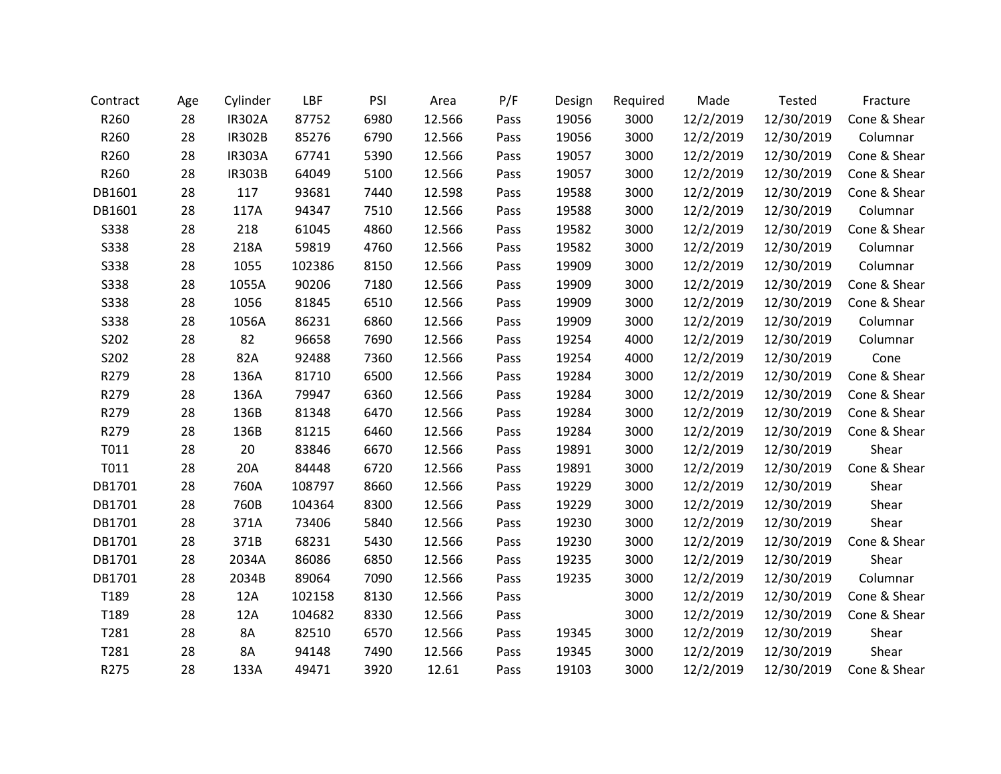| Contract    | Age | Cylinder      | LBF    | PSI  | Area   | P/F  | Design | Required | Made      | Tested     | Fracture     |
|-------------|-----|---------------|--------|------|--------|------|--------|----------|-----------|------------|--------------|
| R260        | 28  | <b>IR302A</b> | 87752  | 6980 | 12.566 | Pass | 19056  | 3000     | 12/2/2019 | 12/30/2019 | Cone & Shear |
| R260        | 28  | <b>IR302B</b> | 85276  | 6790 | 12.566 | Pass | 19056  | 3000     | 12/2/2019 | 12/30/2019 | Columnar     |
| R260        | 28  | <b>IR303A</b> | 67741  | 5390 | 12.566 | Pass | 19057  | 3000     | 12/2/2019 | 12/30/2019 | Cone & Shear |
| R260        | 28  | <b>IR303B</b> | 64049  | 5100 | 12.566 | Pass | 19057  | 3000     | 12/2/2019 | 12/30/2019 | Cone & Shear |
| DB1601      | 28  | 117           | 93681  | 7440 | 12.598 | Pass | 19588  | 3000     | 12/2/2019 | 12/30/2019 | Cone & Shear |
| DB1601      | 28  | 117A          | 94347  | 7510 | 12.566 | Pass | 19588  | 3000     | 12/2/2019 | 12/30/2019 | Columnar     |
| <b>S338</b> | 28  | 218           | 61045  | 4860 | 12.566 | Pass | 19582  | 3000     | 12/2/2019 | 12/30/2019 | Cone & Shear |
| S338        | 28  | 218A          | 59819  | 4760 | 12.566 | Pass | 19582  | 3000     | 12/2/2019 | 12/30/2019 | Columnar     |
| S338        | 28  | 1055          | 102386 | 8150 | 12.566 | Pass | 19909  | 3000     | 12/2/2019 | 12/30/2019 | Columnar     |
| S338        | 28  | 1055A         | 90206  | 7180 | 12.566 | Pass | 19909  | 3000     | 12/2/2019 | 12/30/2019 | Cone & Shear |
| S338        | 28  | 1056          | 81845  | 6510 | 12.566 | Pass | 19909  | 3000     | 12/2/2019 | 12/30/2019 | Cone & Shear |
| <b>S338</b> | 28  | 1056A         | 86231  | 6860 | 12.566 | Pass | 19909  | 3000     | 12/2/2019 | 12/30/2019 | Columnar     |
| S202        | 28  | 82            | 96658  | 7690 | 12.566 | Pass | 19254  | 4000     | 12/2/2019 | 12/30/2019 | Columnar     |
| S202        | 28  | 82A           | 92488  | 7360 | 12.566 | Pass | 19254  | 4000     | 12/2/2019 | 12/30/2019 | Cone         |
| R279        | 28  | 136A          | 81710  | 6500 | 12.566 | Pass | 19284  | 3000     | 12/2/2019 | 12/30/2019 | Cone & Shear |
| R279        | 28  | 136A          | 79947  | 6360 | 12.566 | Pass | 19284  | 3000     | 12/2/2019 | 12/30/2019 | Cone & Shear |
| R279        | 28  | 136B          | 81348  | 6470 | 12.566 | Pass | 19284  | 3000     | 12/2/2019 | 12/30/2019 | Cone & Shear |
| R279        | 28  | 136B          | 81215  | 6460 | 12.566 | Pass | 19284  | 3000     | 12/2/2019 | 12/30/2019 | Cone & Shear |
| T011        | 28  | 20            | 83846  | 6670 | 12.566 | Pass | 19891  | 3000     | 12/2/2019 | 12/30/2019 | Shear        |
| T011        | 28  | 20A           | 84448  | 6720 | 12.566 | Pass | 19891  | 3000     | 12/2/2019 | 12/30/2019 | Cone & Shear |
| DB1701      | 28  | 760A          | 108797 | 8660 | 12.566 | Pass | 19229  | 3000     | 12/2/2019 | 12/30/2019 | Shear        |
| DB1701      | 28  | 760B          | 104364 | 8300 | 12.566 | Pass | 19229  | 3000     | 12/2/2019 | 12/30/2019 | Shear        |
| DB1701      | 28  | 371A          | 73406  | 5840 | 12.566 | Pass | 19230  | 3000     | 12/2/2019 | 12/30/2019 | Shear        |
| DB1701      | 28  | 371B          | 68231  | 5430 | 12.566 | Pass | 19230  | 3000     | 12/2/2019 | 12/30/2019 | Cone & Shear |
| DB1701      | 28  | 2034A         | 86086  | 6850 | 12.566 | Pass | 19235  | 3000     | 12/2/2019 | 12/30/2019 | Shear        |
| DB1701      | 28  | 2034B         | 89064  | 7090 | 12.566 | Pass | 19235  | 3000     | 12/2/2019 | 12/30/2019 | Columnar     |
| T189        | 28  | 12A           | 102158 | 8130 | 12.566 | Pass |        | 3000     | 12/2/2019 | 12/30/2019 | Cone & Shear |
| T189        | 28  | 12A           | 104682 | 8330 | 12.566 | Pass |        | 3000     | 12/2/2019 | 12/30/2019 | Cone & Shear |
| T281        | 28  | 8A            | 82510  | 6570 | 12.566 | Pass | 19345  | 3000     | 12/2/2019 | 12/30/2019 | Shear        |
| T281        | 28  | 8A            | 94148  | 7490 | 12.566 | Pass | 19345  | 3000     | 12/2/2019 | 12/30/2019 | Shear        |
| R275        | 28  | 133A          | 49471  | 3920 | 12.61  | Pass | 19103  | 3000     | 12/2/2019 | 12/30/2019 | Cone & Shear |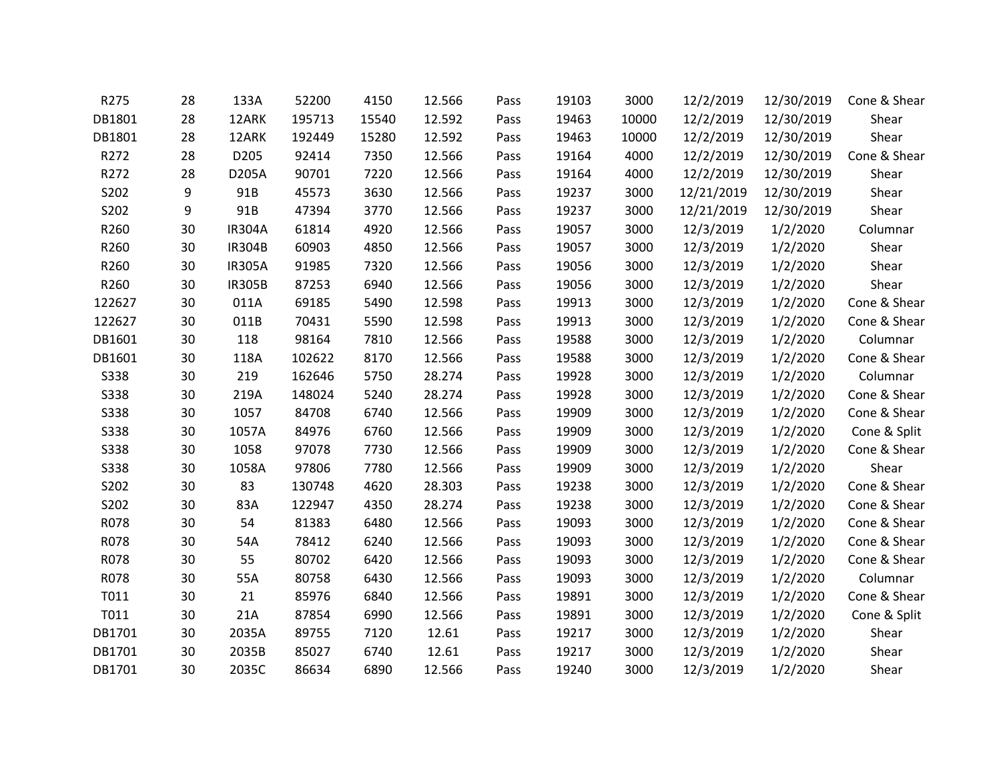| R275        | 28 | 133A          | 52200  | 4150  | 12.566 | Pass | 19103 | 3000  | 12/2/2019  | 12/30/2019 | Cone & Shear |
|-------------|----|---------------|--------|-------|--------|------|-------|-------|------------|------------|--------------|
| DB1801      | 28 | 12ARK         | 195713 | 15540 | 12.592 | Pass | 19463 | 10000 | 12/2/2019  | 12/30/2019 | Shear        |
| DB1801      | 28 | 12ARK         | 192449 | 15280 | 12.592 | Pass | 19463 | 10000 | 12/2/2019  | 12/30/2019 | Shear        |
| R272        | 28 | D205          | 92414  | 7350  | 12.566 | Pass | 19164 | 4000  | 12/2/2019  | 12/30/2019 | Cone & Shear |
| R272        | 28 | D205A         | 90701  | 7220  | 12.566 | Pass | 19164 | 4000  | 12/2/2019  | 12/30/2019 | Shear        |
| S202        | 9  | 91B           | 45573  | 3630  | 12.566 | Pass | 19237 | 3000  | 12/21/2019 | 12/30/2019 | Shear        |
| S202        | 9  | 91B           | 47394  | 3770  | 12.566 | Pass | 19237 | 3000  | 12/21/2019 | 12/30/2019 | Shear        |
| R260        | 30 | <b>IR304A</b> | 61814  | 4920  | 12.566 | Pass | 19057 | 3000  | 12/3/2019  | 1/2/2020   | Columnar     |
| R260        | 30 | <b>IR304B</b> | 60903  | 4850  | 12.566 | Pass | 19057 | 3000  | 12/3/2019  | 1/2/2020   | Shear        |
| R260        | 30 | <b>IR305A</b> | 91985  | 7320  | 12.566 | Pass | 19056 | 3000  | 12/3/2019  | 1/2/2020   | Shear        |
| R260        | 30 | <b>IR305B</b> | 87253  | 6940  | 12.566 | Pass | 19056 | 3000  | 12/3/2019  | 1/2/2020   | Shear        |
| 122627      | 30 | 011A          | 69185  | 5490  | 12.598 | Pass | 19913 | 3000  | 12/3/2019  | 1/2/2020   | Cone & Shear |
| 122627      | 30 | 011B          | 70431  | 5590  | 12.598 | Pass | 19913 | 3000  | 12/3/2019  | 1/2/2020   | Cone & Shear |
| DB1601      | 30 | 118           | 98164  | 7810  | 12.566 | Pass | 19588 | 3000  | 12/3/2019  | 1/2/2020   | Columnar     |
| DB1601      | 30 | 118A          | 102622 | 8170  | 12.566 | Pass | 19588 | 3000  | 12/3/2019  | 1/2/2020   | Cone & Shear |
| <b>S338</b> | 30 | 219           | 162646 | 5750  | 28.274 | Pass | 19928 | 3000  | 12/3/2019  | 1/2/2020   | Columnar     |
| S338        | 30 | 219A          | 148024 | 5240  | 28.274 | Pass | 19928 | 3000  | 12/3/2019  | 1/2/2020   | Cone & Shear |
| S338        | 30 | 1057          | 84708  | 6740  | 12.566 | Pass | 19909 | 3000  | 12/3/2019  | 1/2/2020   | Cone & Shear |
| S338        | 30 | 1057A         | 84976  | 6760  | 12.566 | Pass | 19909 | 3000  | 12/3/2019  | 1/2/2020   | Cone & Split |
| S338        | 30 | 1058          | 97078  | 7730  | 12.566 | Pass | 19909 | 3000  | 12/3/2019  | 1/2/2020   | Cone & Shear |
| <b>S338</b> | 30 | 1058A         | 97806  | 7780  | 12.566 | Pass | 19909 | 3000  | 12/3/2019  | 1/2/2020   | Shear        |
| S202        | 30 | 83            | 130748 | 4620  | 28.303 | Pass | 19238 | 3000  | 12/3/2019  | 1/2/2020   | Cone & Shear |
| S202        | 30 | 83A           | 122947 | 4350  | 28.274 | Pass | 19238 | 3000  | 12/3/2019  | 1/2/2020   | Cone & Shear |
| R078        | 30 | 54            | 81383  | 6480  | 12.566 | Pass | 19093 | 3000  | 12/3/2019  | 1/2/2020   | Cone & Shear |
| R078        | 30 | 54A           | 78412  | 6240  | 12.566 | Pass | 19093 | 3000  | 12/3/2019  | 1/2/2020   | Cone & Shear |
| R078        | 30 | 55            | 80702  | 6420  | 12.566 | Pass | 19093 | 3000  | 12/3/2019  | 1/2/2020   | Cone & Shear |
| R078        | 30 | 55A           | 80758  | 6430  | 12.566 | Pass | 19093 | 3000  | 12/3/2019  | 1/2/2020   | Columnar     |
| T011        | 30 | 21            | 85976  | 6840  | 12.566 | Pass | 19891 | 3000  | 12/3/2019  | 1/2/2020   | Cone & Shear |
| T011        | 30 | 21A           | 87854  | 6990  | 12.566 | Pass | 19891 | 3000  | 12/3/2019  | 1/2/2020   | Cone & Split |
| DB1701      | 30 | 2035A         | 89755  | 7120  | 12.61  | Pass | 19217 | 3000  | 12/3/2019  | 1/2/2020   | Shear        |
| DB1701      | 30 | 2035B         | 85027  | 6740  | 12.61  | Pass | 19217 | 3000  | 12/3/2019  | 1/2/2020   | Shear        |
| DB1701      | 30 | 2035C         | 86634  | 6890  | 12.566 | Pass | 19240 | 3000  | 12/3/2019  | 1/2/2020   | Shear        |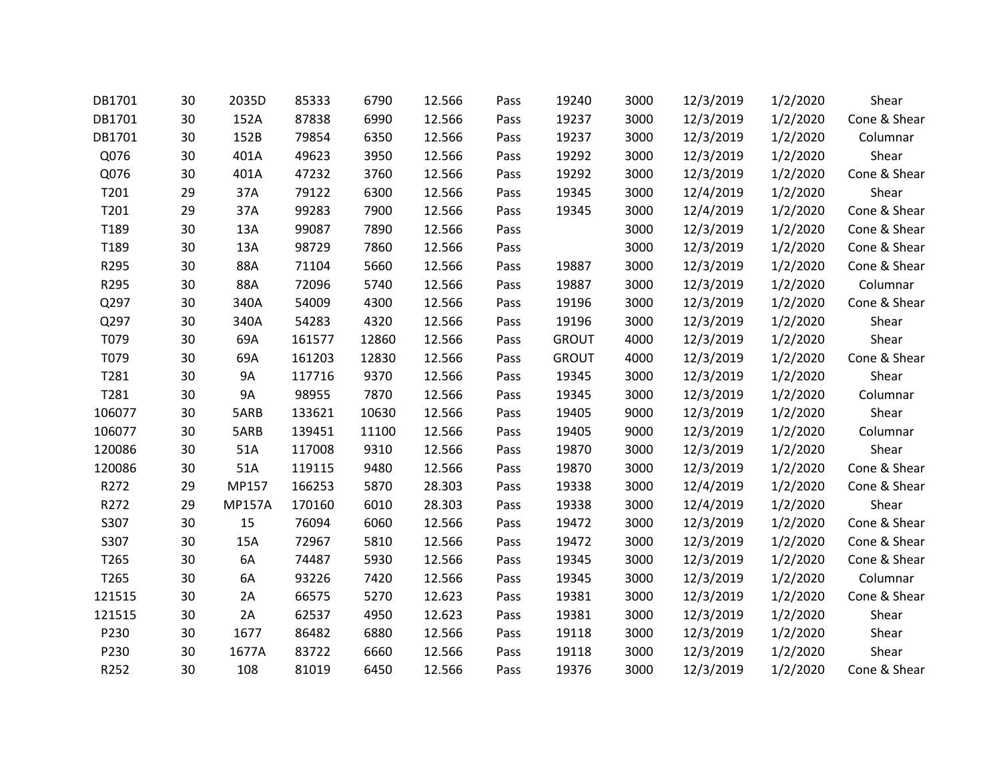| DB1701 | 30 | 2035D         | 85333  | 6790  | 12.566 | Pass | 19240        | 3000 | 12/3/2019 | 1/2/2020 | Shear        |
|--------|----|---------------|--------|-------|--------|------|--------------|------|-----------|----------|--------------|
| DB1701 | 30 | 152A          | 87838  | 6990  | 12.566 | Pass | 19237        | 3000 | 12/3/2019 | 1/2/2020 | Cone & Shear |
| DB1701 | 30 | 152B          | 79854  | 6350  | 12.566 | Pass | 19237        | 3000 | 12/3/2019 | 1/2/2020 | Columnar     |
| Q076   | 30 | 401A          | 49623  | 3950  | 12.566 | Pass | 19292        | 3000 | 12/3/2019 | 1/2/2020 | Shear        |
| Q076   | 30 | 401A          | 47232  | 3760  | 12.566 | Pass | 19292        | 3000 | 12/3/2019 | 1/2/2020 | Cone & Shear |
| T201   | 29 | 37A           | 79122  | 6300  | 12.566 | Pass | 19345        | 3000 | 12/4/2019 | 1/2/2020 | Shear        |
| T201   | 29 | 37A           | 99283  | 7900  | 12.566 | Pass | 19345        | 3000 | 12/4/2019 | 1/2/2020 | Cone & Shear |
| T189   | 30 | 13A           | 99087  | 7890  | 12.566 | Pass |              | 3000 | 12/3/2019 | 1/2/2020 | Cone & Shear |
| T189   | 30 | 13A           | 98729  | 7860  | 12.566 | Pass |              | 3000 | 12/3/2019 | 1/2/2020 | Cone & Shear |
| R295   | 30 | 88A           | 71104  | 5660  | 12.566 | Pass | 19887        | 3000 | 12/3/2019 | 1/2/2020 | Cone & Shear |
| R295   | 30 | 88A           | 72096  | 5740  | 12.566 | Pass | 19887        | 3000 | 12/3/2019 | 1/2/2020 | Columnar     |
| Q297   | 30 | 340A          | 54009  | 4300  | 12.566 | Pass | 19196        | 3000 | 12/3/2019 | 1/2/2020 | Cone & Shear |
| Q297   | 30 | 340A          | 54283  | 4320  | 12.566 | Pass | 19196        | 3000 | 12/3/2019 | 1/2/2020 | Shear        |
| T079   | 30 | 69A           | 161577 | 12860 | 12.566 | Pass | <b>GROUT</b> | 4000 | 12/3/2019 | 1/2/2020 | Shear        |
| T079   | 30 | 69A           | 161203 | 12830 | 12.566 | Pass | <b>GROUT</b> | 4000 | 12/3/2019 | 1/2/2020 | Cone & Shear |
| T281   | 30 | <b>9A</b>     | 117716 | 9370  | 12.566 | Pass | 19345        | 3000 | 12/3/2019 | 1/2/2020 | Shear        |
| T281   | 30 | <b>9A</b>     | 98955  | 7870  | 12.566 | Pass | 19345        | 3000 | 12/3/2019 | 1/2/2020 | Columnar     |
| 106077 | 30 | 5ARB          | 133621 | 10630 | 12.566 | Pass | 19405        | 9000 | 12/3/2019 | 1/2/2020 | Shear        |
| 106077 | 30 | 5ARB          | 139451 | 11100 | 12.566 | Pass | 19405        | 9000 | 12/3/2019 | 1/2/2020 | Columnar     |
| 120086 | 30 | 51A           | 117008 | 9310  | 12.566 | Pass | 19870        | 3000 | 12/3/2019 | 1/2/2020 | Shear        |
| 120086 | 30 | 51A           | 119115 | 9480  | 12.566 | Pass | 19870        | 3000 | 12/3/2019 | 1/2/2020 | Cone & Shear |
| R272   | 29 | MP157         | 166253 | 5870  | 28.303 | Pass | 19338        | 3000 | 12/4/2019 | 1/2/2020 | Cone & Shear |
| R272   | 29 | <b>MP157A</b> | 170160 | 6010  | 28.303 | Pass | 19338        | 3000 | 12/4/2019 | 1/2/2020 | Shear        |
| S307   | 30 | 15            | 76094  | 6060  | 12.566 | Pass | 19472        | 3000 | 12/3/2019 | 1/2/2020 | Cone & Shear |
| S307   | 30 | 15A           | 72967  | 5810  | 12.566 | Pass | 19472        | 3000 | 12/3/2019 | 1/2/2020 | Cone & Shear |
| T265   | 30 | 6A            | 74487  | 5930  | 12.566 | Pass | 19345        | 3000 | 12/3/2019 | 1/2/2020 | Cone & Shear |
| T265   | 30 | 6A            | 93226  | 7420  | 12.566 | Pass | 19345        | 3000 | 12/3/2019 | 1/2/2020 | Columnar     |
| 121515 | 30 | 2A            | 66575  | 5270  | 12.623 | Pass | 19381        | 3000 | 12/3/2019 | 1/2/2020 | Cone & Shear |
| 121515 | 30 | 2A            | 62537  | 4950  | 12.623 | Pass | 19381        | 3000 | 12/3/2019 | 1/2/2020 | Shear        |
| P230   | 30 | 1677          | 86482  | 6880  | 12.566 | Pass | 19118        | 3000 | 12/3/2019 | 1/2/2020 | Shear        |
| P230   | 30 | 1677A         | 83722  | 6660  | 12.566 | Pass | 19118        | 3000 | 12/3/2019 | 1/2/2020 | Shear        |
| R252   | 30 | 108           | 81019  | 6450  | 12.566 | Pass | 19376        | 3000 | 12/3/2019 | 1/2/2020 | Cone & Shear |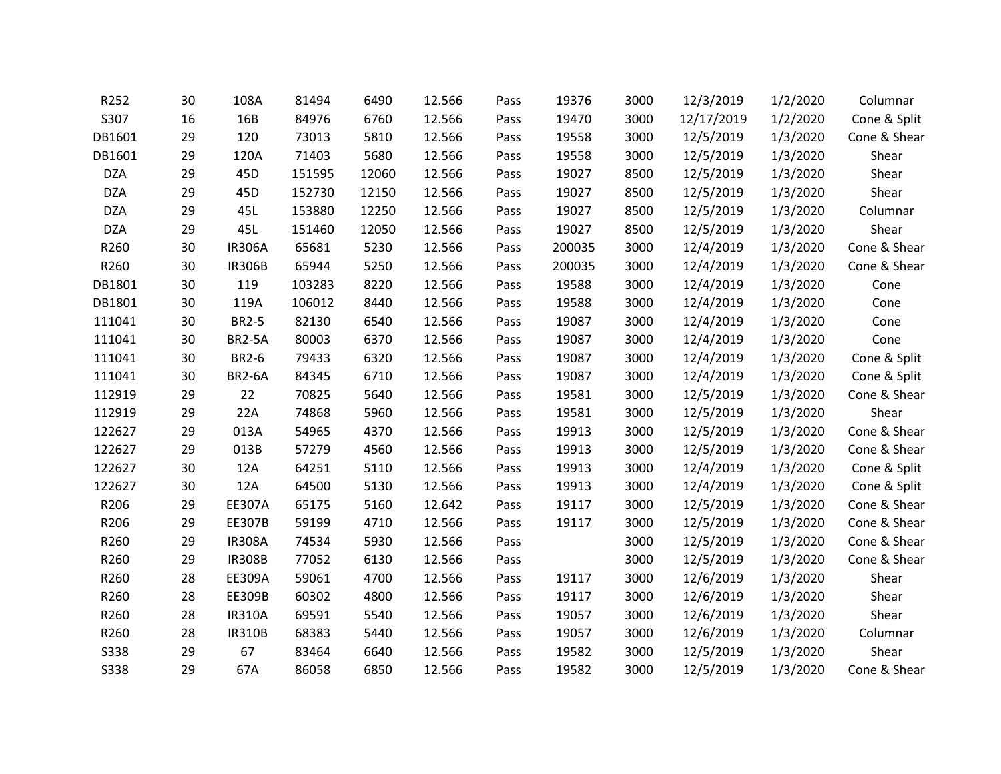| R252        | 30 | 108A          | 81494  | 6490  | 12.566 | Pass | 19376  | 3000 | 12/3/2019  | 1/2/2020 | Columnar     |
|-------------|----|---------------|--------|-------|--------|------|--------|------|------------|----------|--------------|
| S307        | 16 | 16B           | 84976  | 6760  | 12.566 | Pass | 19470  | 3000 | 12/17/2019 | 1/2/2020 | Cone & Split |
| DB1601      | 29 | 120           | 73013  | 5810  | 12.566 | Pass | 19558  | 3000 | 12/5/2019  | 1/3/2020 | Cone & Shear |
| DB1601      | 29 | 120A          | 71403  | 5680  | 12.566 | Pass | 19558  | 3000 | 12/5/2019  | 1/3/2020 | Shear        |
| <b>DZA</b>  | 29 | 45D           | 151595 | 12060 | 12.566 | Pass | 19027  | 8500 | 12/5/2019  | 1/3/2020 | Shear        |
| <b>DZA</b>  | 29 | 45D           | 152730 | 12150 | 12.566 | Pass | 19027  | 8500 | 12/5/2019  | 1/3/2020 | Shear        |
| <b>DZA</b>  | 29 | 45L           | 153880 | 12250 | 12.566 | Pass | 19027  | 8500 | 12/5/2019  | 1/3/2020 | Columnar     |
| <b>DZA</b>  | 29 | 45L           | 151460 | 12050 | 12.566 | Pass | 19027  | 8500 | 12/5/2019  | 1/3/2020 | Shear        |
| R260        | 30 | <b>IR306A</b> | 65681  | 5230  | 12.566 | Pass | 200035 | 3000 | 12/4/2019  | 1/3/2020 | Cone & Shear |
| R260        | 30 | <b>IR306B</b> | 65944  | 5250  | 12.566 | Pass | 200035 | 3000 | 12/4/2019  | 1/3/2020 | Cone & Shear |
| DB1801      | 30 | 119           | 103283 | 8220  | 12.566 | Pass | 19588  | 3000 | 12/4/2019  | 1/3/2020 | Cone         |
| DB1801      | 30 | 119A          | 106012 | 8440  | 12.566 | Pass | 19588  | 3000 | 12/4/2019  | 1/3/2020 | Cone         |
| 111041      | 30 | <b>BR2-5</b>  | 82130  | 6540  | 12.566 | Pass | 19087  | 3000 | 12/4/2019  | 1/3/2020 | Cone         |
| 111041      | 30 | <b>BR2-5A</b> | 80003  | 6370  | 12.566 | Pass | 19087  | 3000 | 12/4/2019  | 1/3/2020 | Cone         |
| 111041      | 30 | <b>BR2-6</b>  | 79433  | 6320  | 12.566 | Pass | 19087  | 3000 | 12/4/2019  | 1/3/2020 | Cone & Split |
| 111041      | 30 | <b>BR2-6A</b> | 84345  | 6710  | 12.566 | Pass | 19087  | 3000 | 12/4/2019  | 1/3/2020 | Cone & Split |
| 112919      | 29 | 22            | 70825  | 5640  | 12.566 | Pass | 19581  | 3000 | 12/5/2019  | 1/3/2020 | Cone & Shear |
| 112919      | 29 | 22A           | 74868  | 5960  | 12.566 | Pass | 19581  | 3000 | 12/5/2019  | 1/3/2020 | Shear        |
| 122627      | 29 | 013A          | 54965  | 4370  | 12.566 | Pass | 19913  | 3000 | 12/5/2019  | 1/3/2020 | Cone & Shear |
| 122627      | 29 | 013B          | 57279  | 4560  | 12.566 | Pass | 19913  | 3000 | 12/5/2019  | 1/3/2020 | Cone & Shear |
| 122627      | 30 | 12A           | 64251  | 5110  | 12.566 | Pass | 19913  | 3000 | 12/4/2019  | 1/3/2020 | Cone & Split |
| 122627      | 30 | 12A           | 64500  | 5130  | 12.566 | Pass | 19913  | 3000 | 12/4/2019  | 1/3/2020 | Cone & Split |
| R206        | 29 | EE307A        | 65175  | 5160  | 12.642 | Pass | 19117  | 3000 | 12/5/2019  | 1/3/2020 | Cone & Shear |
| R206        | 29 | EE307B        | 59199  | 4710  | 12.566 | Pass | 19117  | 3000 | 12/5/2019  | 1/3/2020 | Cone & Shear |
| R260        | 29 | <b>IR308A</b> | 74534  | 5930  | 12.566 | Pass |        | 3000 | 12/5/2019  | 1/3/2020 | Cone & Shear |
| R260        | 29 | <b>IR308B</b> | 77052  | 6130  | 12.566 | Pass |        | 3000 | 12/5/2019  | 1/3/2020 | Cone & Shear |
| R260        | 28 | EE309A        | 59061  | 4700  | 12.566 | Pass | 19117  | 3000 | 12/6/2019  | 1/3/2020 | Shear        |
| R260        | 28 | EE309B        | 60302  | 4800  | 12.566 | Pass | 19117  | 3000 | 12/6/2019  | 1/3/2020 | Shear        |
| R260        | 28 | <b>IR310A</b> | 69591  | 5540  | 12.566 | Pass | 19057  | 3000 | 12/6/2019  | 1/3/2020 | Shear        |
| R260        | 28 | <b>IR310B</b> | 68383  | 5440  | 12.566 | Pass | 19057  | 3000 | 12/6/2019  | 1/3/2020 | Columnar     |
| S338        | 29 | 67            | 83464  | 6640  | 12.566 | Pass | 19582  | 3000 | 12/5/2019  | 1/3/2020 | Shear        |
| <b>S338</b> | 29 | 67A           | 86058  | 6850  | 12.566 | Pass | 19582  | 3000 | 12/5/2019  | 1/3/2020 | Cone & Shear |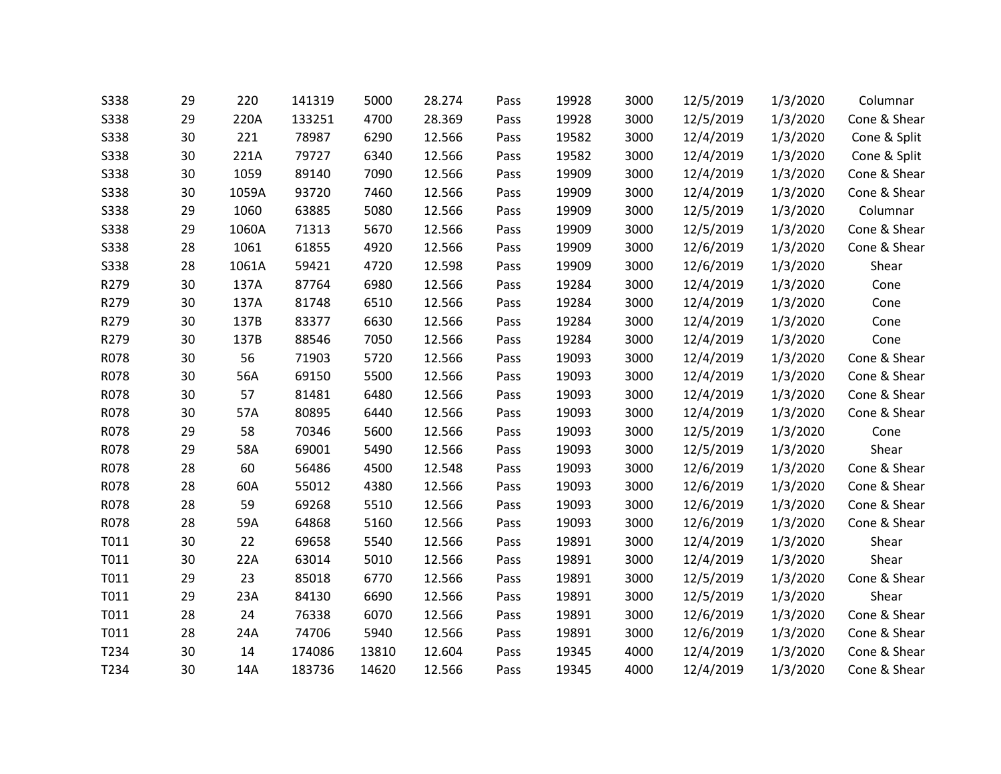| <b>S338</b> | 29 | 220   | 141319 | 5000  | 28.274 | Pass | 19928 | 3000 | 12/5/2019 | 1/3/2020 | Columnar     |
|-------------|----|-------|--------|-------|--------|------|-------|------|-----------|----------|--------------|
| S338        | 29 | 220A  | 133251 | 4700  | 28.369 | Pass | 19928 | 3000 | 12/5/2019 | 1/3/2020 | Cone & Shear |
| S338        | 30 | 221   | 78987  | 6290  | 12.566 | Pass | 19582 | 3000 | 12/4/2019 | 1/3/2020 | Cone & Split |
| S338        | 30 | 221A  | 79727  | 6340  | 12.566 | Pass | 19582 | 3000 | 12/4/2019 | 1/3/2020 | Cone & Split |
| <b>S338</b> | 30 | 1059  | 89140  | 7090  | 12.566 | Pass | 19909 | 3000 | 12/4/2019 | 1/3/2020 | Cone & Shear |
| S338        | 30 | 1059A | 93720  | 7460  | 12.566 | Pass | 19909 | 3000 | 12/4/2019 | 1/3/2020 | Cone & Shear |
| <b>S338</b> | 29 | 1060  | 63885  | 5080  | 12.566 | Pass | 19909 | 3000 | 12/5/2019 | 1/3/2020 | Columnar     |
| <b>S338</b> | 29 | 1060A | 71313  | 5670  | 12.566 | Pass | 19909 | 3000 | 12/5/2019 | 1/3/2020 | Cone & Shear |
| S338        | 28 | 1061  | 61855  | 4920  | 12.566 | Pass | 19909 | 3000 | 12/6/2019 | 1/3/2020 | Cone & Shear |
| S338        | 28 | 1061A | 59421  | 4720  | 12.598 | Pass | 19909 | 3000 | 12/6/2019 | 1/3/2020 | Shear        |
| R279        | 30 | 137A  | 87764  | 6980  | 12.566 | Pass | 19284 | 3000 | 12/4/2019 | 1/3/2020 | Cone         |
| R279        | 30 | 137A  | 81748  | 6510  | 12.566 | Pass | 19284 | 3000 | 12/4/2019 | 1/3/2020 | Cone         |
| R279        | 30 | 137B  | 83377  | 6630  | 12.566 | Pass | 19284 | 3000 | 12/4/2019 | 1/3/2020 | Cone         |
| R279        | 30 | 137B  | 88546  | 7050  | 12.566 | Pass | 19284 | 3000 | 12/4/2019 | 1/3/2020 | Cone         |
| R078        | 30 | 56    | 71903  | 5720  | 12.566 | Pass | 19093 | 3000 | 12/4/2019 | 1/3/2020 | Cone & Shear |
| R078        | 30 | 56A   | 69150  | 5500  | 12.566 | Pass | 19093 | 3000 | 12/4/2019 | 1/3/2020 | Cone & Shear |
| R078        | 30 | 57    | 81481  | 6480  | 12.566 | Pass | 19093 | 3000 | 12/4/2019 | 1/3/2020 | Cone & Shear |
| R078        | 30 | 57A   | 80895  | 6440  | 12.566 | Pass | 19093 | 3000 | 12/4/2019 | 1/3/2020 | Cone & Shear |
| R078        | 29 | 58    | 70346  | 5600  | 12.566 | Pass | 19093 | 3000 | 12/5/2019 | 1/3/2020 | Cone         |
| R078        | 29 | 58A   | 69001  | 5490  | 12.566 | Pass | 19093 | 3000 | 12/5/2019 | 1/3/2020 | Shear        |
| R078        | 28 | 60    | 56486  | 4500  | 12.548 | Pass | 19093 | 3000 | 12/6/2019 | 1/3/2020 | Cone & Shear |
| R078        | 28 | 60A   | 55012  | 4380  | 12.566 | Pass | 19093 | 3000 | 12/6/2019 | 1/3/2020 | Cone & Shear |
| R078        | 28 | 59    | 69268  | 5510  | 12.566 | Pass | 19093 | 3000 | 12/6/2019 | 1/3/2020 | Cone & Shear |
| R078        | 28 | 59A   | 64868  | 5160  | 12.566 | Pass | 19093 | 3000 | 12/6/2019 | 1/3/2020 | Cone & Shear |
| T011        | 30 | 22    | 69658  | 5540  | 12.566 | Pass | 19891 | 3000 | 12/4/2019 | 1/3/2020 | Shear        |
| T011        | 30 | 22A   | 63014  | 5010  | 12.566 | Pass | 19891 | 3000 | 12/4/2019 | 1/3/2020 | Shear        |
| T011        | 29 | 23    | 85018  | 6770  | 12.566 | Pass | 19891 | 3000 | 12/5/2019 | 1/3/2020 | Cone & Shear |
| T011        | 29 | 23A   | 84130  | 6690  | 12.566 | Pass | 19891 | 3000 | 12/5/2019 | 1/3/2020 | Shear        |
| T011        | 28 | 24    | 76338  | 6070  | 12.566 | Pass | 19891 | 3000 | 12/6/2019 | 1/3/2020 | Cone & Shear |
| T011        | 28 | 24A   | 74706  | 5940  | 12.566 | Pass | 19891 | 3000 | 12/6/2019 | 1/3/2020 | Cone & Shear |
| T234        | 30 | 14    | 174086 | 13810 | 12.604 | Pass | 19345 | 4000 | 12/4/2019 | 1/3/2020 | Cone & Shear |
| T234        | 30 | 14A   | 183736 | 14620 | 12.566 | Pass | 19345 | 4000 | 12/4/2019 | 1/3/2020 | Cone & Shear |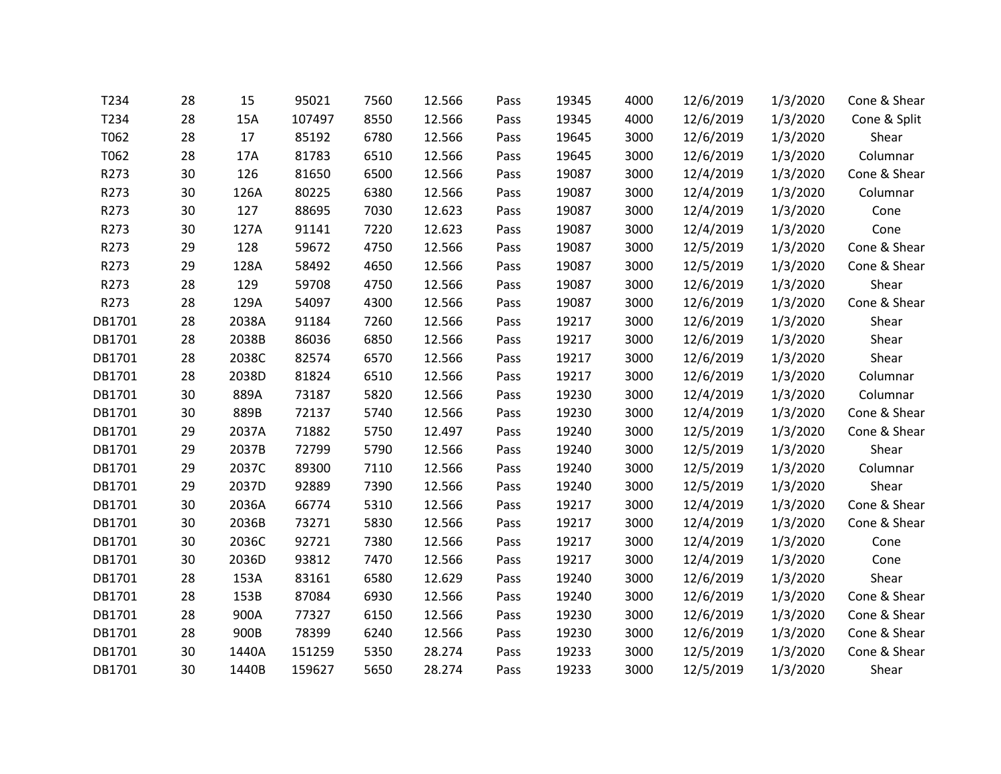| T234   | 28 | 15    | 95021  | 7560 | 12.566 | Pass | 19345 | 4000 | 12/6/2019 | 1/3/2020 | Cone & Shear |
|--------|----|-------|--------|------|--------|------|-------|------|-----------|----------|--------------|
| T234   | 28 | 15A   | 107497 | 8550 | 12.566 | Pass | 19345 | 4000 | 12/6/2019 | 1/3/2020 | Cone & Split |
| T062   | 28 | 17    | 85192  | 6780 | 12.566 | Pass | 19645 | 3000 | 12/6/2019 | 1/3/2020 | Shear        |
| T062   | 28 | 17A   | 81783  | 6510 | 12.566 | Pass | 19645 | 3000 | 12/6/2019 | 1/3/2020 | Columnar     |
| R273   | 30 | 126   | 81650  | 6500 | 12.566 | Pass | 19087 | 3000 | 12/4/2019 | 1/3/2020 | Cone & Shear |
| R273   | 30 | 126A  | 80225  | 6380 | 12.566 | Pass | 19087 | 3000 | 12/4/2019 | 1/3/2020 | Columnar     |
| R273   | 30 | 127   | 88695  | 7030 | 12.623 | Pass | 19087 | 3000 | 12/4/2019 | 1/3/2020 | Cone         |
| R273   | 30 | 127A  | 91141  | 7220 | 12.623 | Pass | 19087 | 3000 | 12/4/2019 | 1/3/2020 | Cone         |
| R273   | 29 | 128   | 59672  | 4750 | 12.566 | Pass | 19087 | 3000 | 12/5/2019 | 1/3/2020 | Cone & Shear |
| R273   | 29 | 128A  | 58492  | 4650 | 12.566 | Pass | 19087 | 3000 | 12/5/2019 | 1/3/2020 | Cone & Shear |
| R273   | 28 | 129   | 59708  | 4750 | 12.566 | Pass | 19087 | 3000 | 12/6/2019 | 1/3/2020 | Shear        |
| R273   | 28 | 129A  | 54097  | 4300 | 12.566 | Pass | 19087 | 3000 | 12/6/2019 | 1/3/2020 | Cone & Shear |
| DB1701 | 28 | 2038A | 91184  | 7260 | 12.566 | Pass | 19217 | 3000 | 12/6/2019 | 1/3/2020 | Shear        |
| DB1701 | 28 | 2038B | 86036  | 6850 | 12.566 | Pass | 19217 | 3000 | 12/6/2019 | 1/3/2020 | Shear        |
| DB1701 | 28 | 2038C | 82574  | 6570 | 12.566 | Pass | 19217 | 3000 | 12/6/2019 | 1/3/2020 | Shear        |
| DB1701 | 28 | 2038D | 81824  | 6510 | 12.566 | Pass | 19217 | 3000 | 12/6/2019 | 1/3/2020 | Columnar     |
| DB1701 | 30 | 889A  | 73187  | 5820 | 12.566 | Pass | 19230 | 3000 | 12/4/2019 | 1/3/2020 | Columnar     |
| DB1701 | 30 | 889B  | 72137  | 5740 | 12.566 | Pass | 19230 | 3000 | 12/4/2019 | 1/3/2020 | Cone & Shear |
| DB1701 | 29 | 2037A | 71882  | 5750 | 12.497 | Pass | 19240 | 3000 | 12/5/2019 | 1/3/2020 | Cone & Shear |
| DB1701 | 29 | 2037B | 72799  | 5790 | 12.566 | Pass | 19240 | 3000 | 12/5/2019 | 1/3/2020 | Shear        |
| DB1701 | 29 | 2037C | 89300  | 7110 | 12.566 | Pass | 19240 | 3000 | 12/5/2019 | 1/3/2020 | Columnar     |
| DB1701 | 29 | 2037D | 92889  | 7390 | 12.566 | Pass | 19240 | 3000 | 12/5/2019 | 1/3/2020 | Shear        |
| DB1701 | 30 | 2036A | 66774  | 5310 | 12.566 | Pass | 19217 | 3000 | 12/4/2019 | 1/3/2020 | Cone & Shear |
| DB1701 | 30 | 2036B | 73271  | 5830 | 12.566 | Pass | 19217 | 3000 | 12/4/2019 | 1/3/2020 | Cone & Shear |
| DB1701 | 30 | 2036C | 92721  | 7380 | 12.566 | Pass | 19217 | 3000 | 12/4/2019 | 1/3/2020 | Cone         |
| DB1701 | 30 | 2036D | 93812  | 7470 | 12.566 | Pass | 19217 | 3000 | 12/4/2019 | 1/3/2020 | Cone         |
| DB1701 | 28 | 153A  | 83161  | 6580 | 12.629 | Pass | 19240 | 3000 | 12/6/2019 | 1/3/2020 | Shear        |
| DB1701 | 28 | 153B  | 87084  | 6930 | 12.566 | Pass | 19240 | 3000 | 12/6/2019 | 1/3/2020 | Cone & Shear |
| DB1701 | 28 | 900A  | 77327  | 6150 | 12.566 | Pass | 19230 | 3000 | 12/6/2019 | 1/3/2020 | Cone & Shear |
| DB1701 | 28 | 900B  | 78399  | 6240 | 12.566 | Pass | 19230 | 3000 | 12/6/2019 | 1/3/2020 | Cone & Shear |
| DB1701 | 30 | 1440A | 151259 | 5350 | 28.274 | Pass | 19233 | 3000 | 12/5/2019 | 1/3/2020 | Cone & Shear |
| DB1701 | 30 | 1440B | 159627 | 5650 | 28.274 | Pass | 19233 | 3000 | 12/5/2019 | 1/3/2020 | Shear        |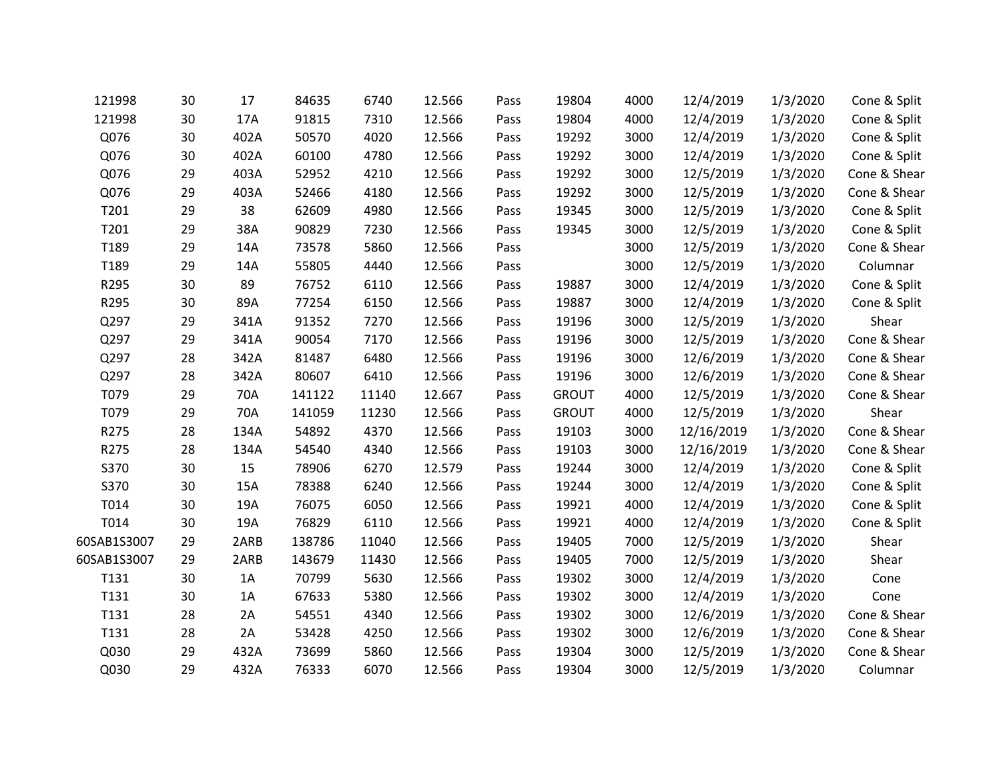| 121998      | 30 | 17   | 84635  | 6740  | 12.566 | Pass | 19804        | 4000 | 12/4/2019  | 1/3/2020 | Cone & Split |
|-------------|----|------|--------|-------|--------|------|--------------|------|------------|----------|--------------|
| 121998      | 30 | 17A  | 91815  | 7310  | 12.566 | Pass | 19804        | 4000 | 12/4/2019  | 1/3/2020 | Cone & Split |
| Q076        | 30 | 402A | 50570  | 4020  | 12.566 | Pass | 19292        | 3000 | 12/4/2019  | 1/3/2020 | Cone & Split |
| Q076        | 30 | 402A | 60100  | 4780  | 12.566 | Pass | 19292        | 3000 | 12/4/2019  | 1/3/2020 | Cone & Split |
| Q076        | 29 | 403A | 52952  | 4210  | 12.566 | Pass | 19292        | 3000 | 12/5/2019  | 1/3/2020 | Cone & Shear |
| Q076        | 29 | 403A | 52466  | 4180  | 12.566 | Pass | 19292        | 3000 | 12/5/2019  | 1/3/2020 | Cone & Shear |
| T201        | 29 | 38   | 62609  | 4980  | 12.566 | Pass | 19345        | 3000 | 12/5/2019  | 1/3/2020 | Cone & Split |
| T201        | 29 | 38A  | 90829  | 7230  | 12.566 | Pass | 19345        | 3000 | 12/5/2019  | 1/3/2020 | Cone & Split |
| T189        | 29 | 14A  | 73578  | 5860  | 12.566 | Pass |              | 3000 | 12/5/2019  | 1/3/2020 | Cone & Shear |
| T189        | 29 | 14A  | 55805  | 4440  | 12.566 | Pass |              | 3000 | 12/5/2019  | 1/3/2020 | Columnar     |
| R295        | 30 | 89   | 76752  | 6110  | 12.566 | Pass | 19887        | 3000 | 12/4/2019  | 1/3/2020 | Cone & Split |
| R295        | 30 | 89A  | 77254  | 6150  | 12.566 | Pass | 19887        | 3000 | 12/4/2019  | 1/3/2020 | Cone & Split |
| Q297        | 29 | 341A | 91352  | 7270  | 12.566 | Pass | 19196        | 3000 | 12/5/2019  | 1/3/2020 | Shear        |
| Q297        | 29 | 341A | 90054  | 7170  | 12.566 | Pass | 19196        | 3000 | 12/5/2019  | 1/3/2020 | Cone & Shear |
| Q297        | 28 | 342A | 81487  | 6480  | 12.566 | Pass | 19196        | 3000 | 12/6/2019  | 1/3/2020 | Cone & Shear |
| Q297        | 28 | 342A | 80607  | 6410  | 12.566 | Pass | 19196        | 3000 | 12/6/2019  | 1/3/2020 | Cone & Shear |
| T079        | 29 | 70A  | 141122 | 11140 | 12.667 | Pass | <b>GROUT</b> | 4000 | 12/5/2019  | 1/3/2020 | Cone & Shear |
| T079        | 29 | 70A  | 141059 | 11230 | 12.566 | Pass | <b>GROUT</b> | 4000 | 12/5/2019  | 1/3/2020 | Shear        |
| R275        | 28 | 134A | 54892  | 4370  | 12.566 | Pass | 19103        | 3000 | 12/16/2019 | 1/3/2020 | Cone & Shear |
| R275        | 28 | 134A | 54540  | 4340  | 12.566 | Pass | 19103        | 3000 | 12/16/2019 | 1/3/2020 | Cone & Shear |
| S370        | 30 | 15   | 78906  | 6270  | 12.579 | Pass | 19244        | 3000 | 12/4/2019  | 1/3/2020 | Cone & Split |
| S370        | 30 | 15A  | 78388  | 6240  | 12.566 | Pass | 19244        | 3000 | 12/4/2019  | 1/3/2020 | Cone & Split |
| T014        | 30 | 19A  | 76075  | 6050  | 12.566 | Pass | 19921        | 4000 | 12/4/2019  | 1/3/2020 | Cone & Split |
| T014        | 30 | 19A  | 76829  | 6110  | 12.566 | Pass | 19921        | 4000 | 12/4/2019  | 1/3/2020 | Cone & Split |
| 60SAB1S3007 | 29 | 2ARB | 138786 | 11040 | 12.566 | Pass | 19405        | 7000 | 12/5/2019  | 1/3/2020 | Shear        |
| 60SAB1S3007 | 29 | 2ARB | 143679 | 11430 | 12.566 | Pass | 19405        | 7000 | 12/5/2019  | 1/3/2020 | Shear        |
| T131        | 30 | 1A   | 70799  | 5630  | 12.566 | Pass | 19302        | 3000 | 12/4/2019  | 1/3/2020 | Cone         |
| T131        | 30 | 1A   | 67633  | 5380  | 12.566 | Pass | 19302        | 3000 | 12/4/2019  | 1/3/2020 | Cone         |
| T131        | 28 | 2A   | 54551  | 4340  | 12.566 | Pass | 19302        | 3000 | 12/6/2019  | 1/3/2020 | Cone & Shear |
| T131        | 28 | 2A   | 53428  | 4250  | 12.566 | Pass | 19302        | 3000 | 12/6/2019  | 1/3/2020 | Cone & Shear |
| Q030        | 29 | 432A | 73699  | 5860  | 12.566 | Pass | 19304        | 3000 | 12/5/2019  | 1/3/2020 | Cone & Shear |
| Q030        | 29 | 432A | 76333  | 6070  | 12.566 | Pass | 19304        | 3000 | 12/5/2019  | 1/3/2020 | Columnar     |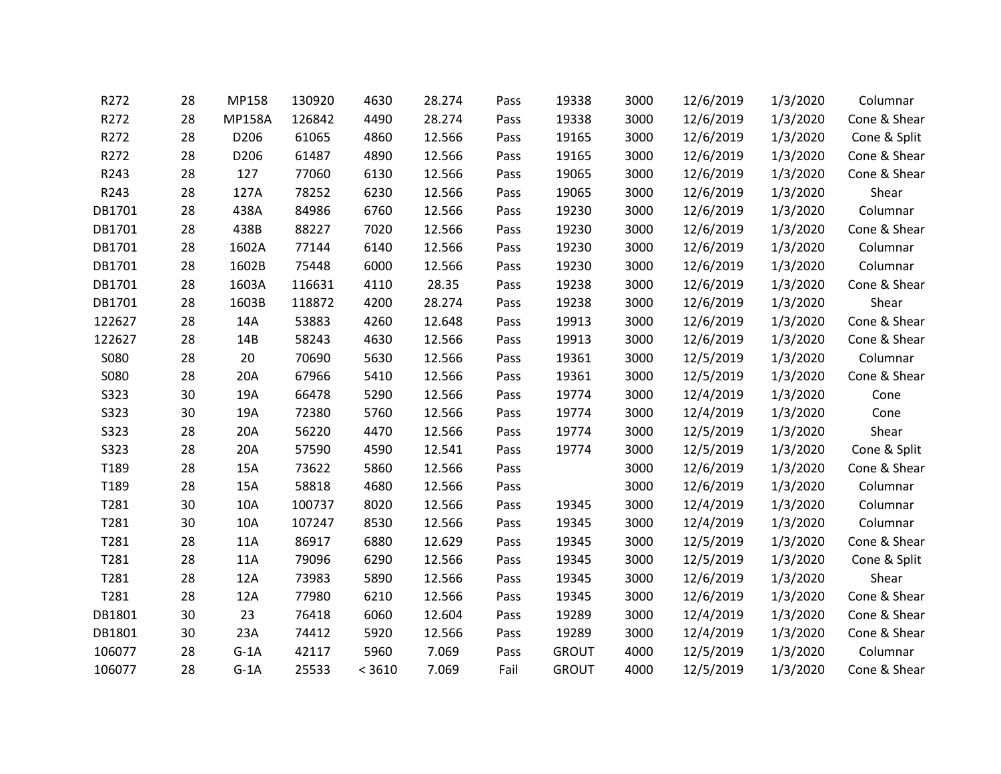| R272             | 28 | MP158         | 130920 | 4630   | 28.274 | Pass | 19338        | 3000 | 12/6/2019 | 1/3/2020 | Columnar     |
|------------------|----|---------------|--------|--------|--------|------|--------------|------|-----------|----------|--------------|
| R272             | 28 | <b>MP158A</b> | 126842 | 4490   | 28.274 | Pass | 19338        | 3000 | 12/6/2019 | 1/3/2020 | Cone & Shear |
| R272             | 28 | D206          | 61065  | 4860   | 12.566 | Pass | 19165        | 3000 | 12/6/2019 | 1/3/2020 | Cone & Split |
| R272             | 28 | D206          | 61487  | 4890   | 12.566 | Pass | 19165        | 3000 | 12/6/2019 | 1/3/2020 | Cone & Shear |
| R243             | 28 | 127           | 77060  | 6130   | 12.566 | Pass | 19065        | 3000 | 12/6/2019 | 1/3/2020 | Cone & Shear |
| R243             | 28 | 127A          | 78252  | 6230   | 12.566 | Pass | 19065        | 3000 | 12/6/2019 | 1/3/2020 | Shear        |
| DB1701           | 28 | 438A          | 84986  | 6760   | 12.566 | Pass | 19230        | 3000 | 12/6/2019 | 1/3/2020 | Columnar     |
| DB1701           | 28 | 438B          | 88227  | 7020   | 12.566 | Pass | 19230        | 3000 | 12/6/2019 | 1/3/2020 | Cone & Shear |
| DB1701           | 28 | 1602A         | 77144  | 6140   | 12.566 | Pass | 19230        | 3000 | 12/6/2019 | 1/3/2020 | Columnar     |
| DB1701           | 28 | 1602B         | 75448  | 6000   | 12.566 | Pass | 19230        | 3000 | 12/6/2019 | 1/3/2020 | Columnar     |
| DB1701           | 28 | 1603A         | 116631 | 4110   | 28.35  | Pass | 19238        | 3000 | 12/6/2019 | 1/3/2020 | Cone & Shear |
| DB1701           | 28 | 1603B         | 118872 | 4200   | 28.274 | Pass | 19238        | 3000 | 12/6/2019 | 1/3/2020 | Shear        |
| 122627           | 28 | 14A           | 53883  | 4260   | 12.648 | Pass | 19913        | 3000 | 12/6/2019 | 1/3/2020 | Cone & Shear |
| 122627           | 28 | 14B           | 58243  | 4630   | 12.566 | Pass | 19913        | 3000 | 12/6/2019 | 1/3/2020 | Cone & Shear |
| <b>S080</b>      | 28 | 20            | 70690  | 5630   | 12.566 | Pass | 19361        | 3000 | 12/5/2019 | 1/3/2020 | Columnar     |
| <b>S080</b>      | 28 | 20A           | 67966  | 5410   | 12.566 | Pass | 19361        | 3000 | 12/5/2019 | 1/3/2020 | Cone & Shear |
| S323             | 30 | 19A           | 66478  | 5290   | 12.566 | Pass | 19774        | 3000 | 12/4/2019 | 1/3/2020 | Cone         |
| S323             | 30 | 19A           | 72380  | 5760   | 12.566 | Pass | 19774        | 3000 | 12/4/2019 | 1/3/2020 | Cone         |
| S323             | 28 | 20A           | 56220  | 4470   | 12.566 | Pass | 19774        | 3000 | 12/5/2019 | 1/3/2020 | Shear        |
| S323             | 28 | 20A           | 57590  | 4590   | 12.541 | Pass | 19774        | 3000 | 12/5/2019 | 1/3/2020 | Cone & Split |
| T <sub>189</sub> | 28 | 15A           | 73622  | 5860   | 12.566 | Pass |              | 3000 | 12/6/2019 | 1/3/2020 | Cone & Shear |
| T189             | 28 | 15A           | 58818  | 4680   | 12.566 | Pass |              | 3000 | 12/6/2019 | 1/3/2020 | Columnar     |
| T281             | 30 | 10A           | 100737 | 8020   | 12.566 | Pass | 19345        | 3000 | 12/4/2019 | 1/3/2020 | Columnar     |
| T281             | 30 | 10A           | 107247 | 8530   | 12.566 | Pass | 19345        | 3000 | 12/4/2019 | 1/3/2020 | Columnar     |
| T281             | 28 | 11A           | 86917  | 6880   | 12.629 | Pass | 19345        | 3000 | 12/5/2019 | 1/3/2020 | Cone & Shear |
| T281             | 28 | 11A           | 79096  | 6290   | 12.566 | Pass | 19345        | 3000 | 12/5/2019 | 1/3/2020 | Cone & Split |
| T281             | 28 | 12A           | 73983  | 5890   | 12.566 | Pass | 19345        | 3000 | 12/6/2019 | 1/3/2020 | Shear        |
| T281             | 28 | 12A           | 77980  | 6210   | 12.566 | Pass | 19345        | 3000 | 12/6/2019 | 1/3/2020 | Cone & Shear |
| DB1801           | 30 | 23            | 76418  | 6060   | 12.604 | Pass | 19289        | 3000 | 12/4/2019 | 1/3/2020 | Cone & Shear |
| DB1801           | 30 | 23A           | 74412  | 5920   | 12.566 | Pass | 19289        | 3000 | 12/4/2019 | 1/3/2020 | Cone & Shear |
| 106077           | 28 | $G-1A$        | 42117  | 5960   | 7.069  | Pass | <b>GROUT</b> | 4000 | 12/5/2019 | 1/3/2020 | Columnar     |
| 106077           | 28 | $G-1A$        | 25533  | < 3610 | 7.069  | Fail | <b>GROUT</b> | 4000 | 12/5/2019 | 1/3/2020 | Cone & Shear |